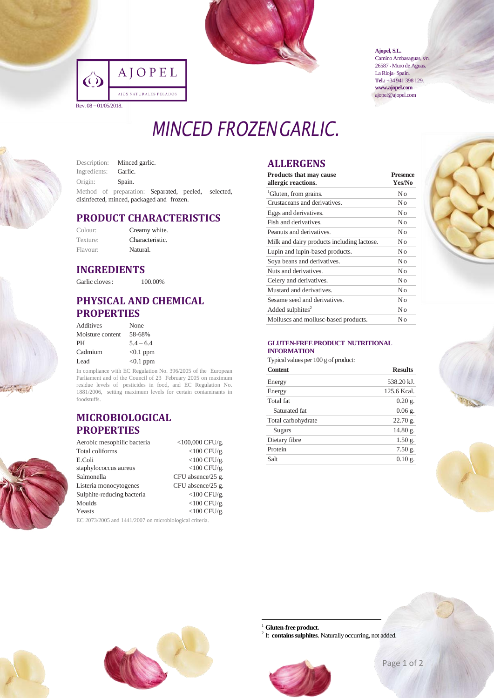

|                       | JOPEL                  |
|-----------------------|------------------------|
|                       | AJOS NATURALES PELADOS |
| Rev. 08 – 01/05/2018. |                        |

**Ajopel, S.L.** Camino Ambasaguas, s/n. 26587 • Muro de Aguas. La Rioja · Spain. **Tel.:**+34 941 398 129. **www.ajopel.com** ajopel@ajopel.com

# *MINCED FROZENGARLIC.*

Description: Minced garlic. Ingredients: Garlic. Origin: Spain. Method of preparation: Separated, peeled, selected, disinfected, minced, packaged and frozen.

## **PRODUCT CHARACTERISTICS**

| Colour:  | Creamy white.   |
|----------|-----------------|
| Texture: | Characteristic. |
| Flavour: | Natural.        |

#### **INGREDIENTS**

Garlic cloves: 100.00%

## **PHYSICAL AND CHEMICAL PROPERTIES**

| Additives        | None        |
|------------------|-------------|
| Moisture content | 58-68%      |
| PH               | $54 - 64$   |
| Cadmium          | $<0.1$ ppm  |
| Lead             | $< 0.1$ ppm |

In compliance with EC Regulation No. 396/2005 of the European Parliament and of the Council of 23 February 2005 on maximum residue levels of pesticides in food, and EC Regulation No. 1881/2006, setting maximum levels for certain contaminants in foodstuffs.

#### **MICROBIOLOGICAL PROPERTIES**

| Aerobic mesophilic bacteria                                      | $<$ 100,000 CFU/g. |  |
|------------------------------------------------------------------|--------------------|--|
| Total coliforms                                                  | $<$ 100 CFU/g.     |  |
| E.Coli                                                           | $<$ 100 CFU/g.     |  |
| staphylococcus aureus                                            | $<$ 100 CFU/g.     |  |
| Salmonella                                                       | CFU absence/25 g.  |  |
| Listeria monocytogenes                                           | CFU absence/25 g.  |  |
| Sulphite-reducing bacteria                                       | $<$ 100 CFU/g.     |  |
| Moulds                                                           | $<$ 100 CFU/g.     |  |
| Yeasts                                                           | $<$ 100 CFU/g.     |  |
| $E C. 2072.208$ and $1441.2007$ an minute interior $\frac{1}{2}$ |                    |  |

2073/2005 and 1441/2007 on microbiological criteria.

# **ALLERGENS**

| <b>Products that may cause</b><br>allergic reactions. | <b>Presence</b><br>Yes/No |  |
|-------------------------------------------------------|---------------------------|--|
| <sup>1</sup> Gluten, from grains.                     | No                        |  |
| Crustaceans and derivatives.                          | No                        |  |
| Eggs and derivatives.                                 | No                        |  |
| Fish and derivatives.                                 | No                        |  |
| Peanuts and derivatives.                              | No                        |  |
| Milk and dairy products including lactose.            | No                        |  |
| Lupin and lupin-based products.                       | No                        |  |
| Soya beans and derivatives.                           | No                        |  |
| Nuts and derivatives.                                 | No                        |  |
| Celery and derivatives.                               | No                        |  |
| Mustard and derivatives.                              | No                        |  |
| Sesame seed and derivatives.                          | No                        |  |
| Added sulphites $2$                                   | No                        |  |
| Molluscs and mollusc-based products.                  | Nο                        |  |



Typical values per 100 g of product:

| <b>Content</b>     | <b>Results</b> |  |
|--------------------|----------------|--|
| Energy             | 538.20 kJ.     |  |
| Energy             | 125.6 Kcal.    |  |
| Total fat          | $0.20$ g.      |  |
| Saturated fat      | $0.06$ g.      |  |
| Total carbohydrate | 22.70 g.       |  |
| Sugars             | 14.80 g.       |  |
| Dietary fibre      | 1.50 g.        |  |
| Protein            | $7.50g$ .      |  |
| Salt               | $0.10$ g.      |  |
|                    |                |  |







Gluten-free product.

1

<sup>2</sup> It **contains sulphites**. Naturally occurring, not added.